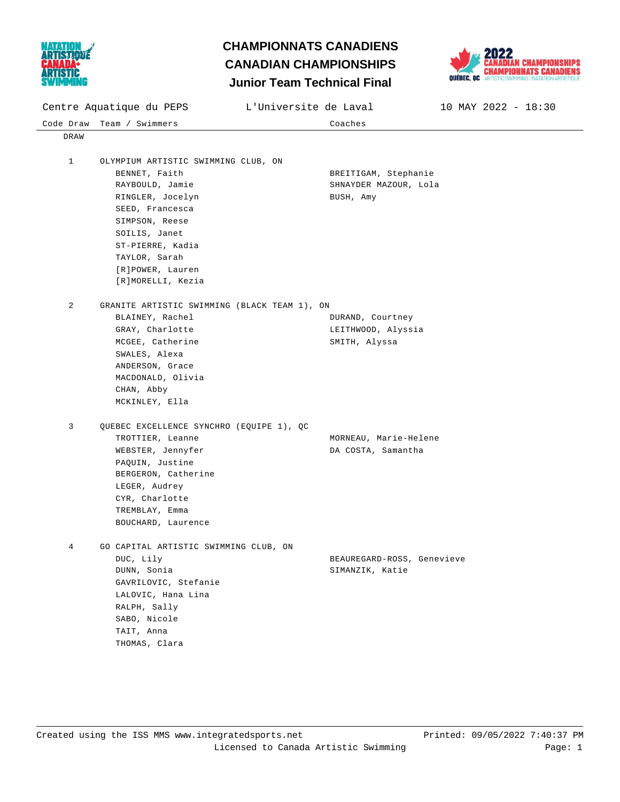

## **Junior Team Technical Final CHAMPIONNATS CANADIENS CANADIAN CHAMPIONSHIPS**



| <b>O MA ERATRABIKIA</b><br>Junior Team Technical Final |                                                                                                                                                                                                                                 |                       |                                                            |                         |
|--------------------------------------------------------|---------------------------------------------------------------------------------------------------------------------------------------------------------------------------------------------------------------------------------|-----------------------|------------------------------------------------------------|-------------------------|
|                                                        | Centre Aquatique du PEPS                                                                                                                                                                                                        | L'Universite de Laval |                                                            | $10$ MAY 2022 - $18:30$ |
|                                                        | Code Draw Team / Swimmers                                                                                                                                                                                                       |                       | Coaches                                                    |                         |
| DRAW                                                   |                                                                                                                                                                                                                                 |                       |                                                            |                         |
| $\mathbf{1}$                                           | OLYMPIUM ARTISTIC SWIMMING CLUB, ON<br>BENNET, Faith<br>RAYBOULD, Jamie<br>RINGLER, Jocelyn<br>SEED, Francesca<br>SIMPSON, Reese<br>SOILIS, Janet<br>ST-PIERRE, Kadia<br>TAYLOR, Sarah<br>[R]POWER, Lauren<br>[R]MORELLI, Kezia |                       | BREITIGAM, Stephanie<br>SHNAYDER MAZOUR, Lola<br>BUSH, Amy |                         |
| 2                                                      | GRANITE ARTISTIC SWIMMING (BLACK TEAM 1), ON<br>BLAINEY, Rachel<br>GRAY, Charlotte<br>MCGEE, Catherine<br>SWALES, Alexa<br>ANDERSON, Grace<br>MACDONALD, Olivia<br>CHAN, Abby<br>MCKINLEY, Ella                                 |                       | DURAND, Courtney<br>LEITHWOOD, Alyssia<br>SMITH, Alyssa    |                         |
| 3                                                      | QUEBEC EXCELLENCE SYNCHRO (EQUIPE 1), QC<br>TROTTIER, Leanne<br>WEBSTER, Jennyfer<br>PAQUIN, Justine<br>BERGERON, Catherine<br>LEGER, Audrey<br>CYR, Charlotte<br>TREMBLAY, Emma<br>BOUCHARD, Laurence                          |                       | MORNEAU, Marie-Helene<br>DA COSTA, Samantha                |                         |
| 4                                                      | GO CAPITAL ARTISTIC SWIMMING CLUB, ON<br>DUC, Lily<br>DUNN, Sonia<br>GAVRILOVIC, Stefanie<br>LALOVIC, Hana Lina<br>RALPH, Sally<br>SABO, Nicole<br>TAIT, Anna<br>THOMAS, Clara                                                  |                       | BEAUREGARD-ROSS, Genevieve<br>SIMANZIK, Katie              |                         |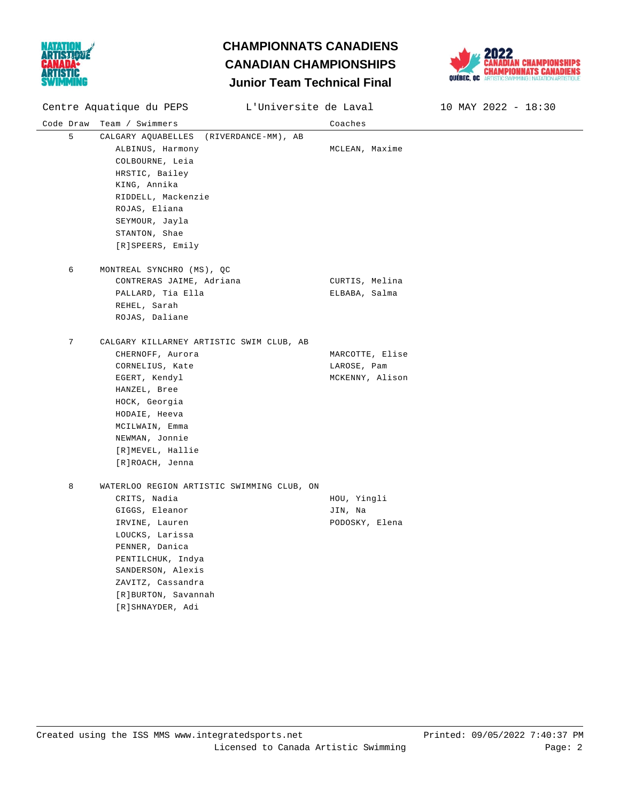

## **Junior Team Technical Final CHAMPIONNATS CANADIENS CANADIAN CHAMPIONSHIPS**



Code Draw Team / Swimmers Coaches Centre Aquatique du PEPS L'Universite de Laval 10 MAY 2022 - 18:30 5 CALGARY AQUABELLES (RIVERDANCE-MM), AB ALBINUS, Harmony **MCLEAN**, Maxime COLBOURNE, Leia HRSTIC, Bailey KING, Annika RIDDELL, Mackenzie ROJAS, Eliana SEYMOUR, Jayla STANTON, Shae [R]SPEERS, Emily 6 MONTREAL SYNCHRO (MS), QC CONTRERAS JAIME, Adriana CURTIS, Melina PALLARD, Tia Ella en el establecer en el ELBABA, Salma REHEL, Sarah ROJAS, Daliane 7 CALGARY KILLARNEY ARTISTIC SWIM CLUB, AB CHERNOFF, Aurora **MARCOTTE, Elise** CORNELIUS, Kate LAROSE, Pam EGERT, Kendyl MCKENNY, Alison HANZEL, Bree HOCK, Georgia HODAIE, Heeva MCILWAIN, Emma NEWMAN, Jonnie [R]MEVEL, Hallie [R]ROACH, Jenna 8 WATERLOO REGION ARTISTIC SWIMMING CLUB, ON CRITS, Nadia **HOU, Yingli** GIGGS, Eleanor JIN, Na IRVINE, Lauren and Alexander PODOSKY, Elena LOUCKS, Larissa PENNER, Danica PENTILCHUK, Indya SANDERSON, Alexis ZAVITZ, Cassandra [R]BURTON, Savannah [R]SHNAYDER, Adi